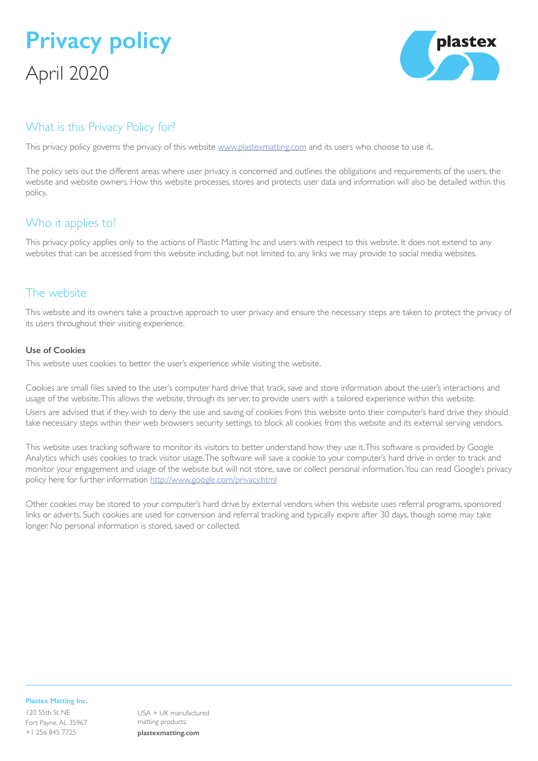# **Privacy policy** April 2020



## What is this Privacy Policy for?

This privacy policy governs the privacy of this website [www.plastexmatting.com](http://www.plastexmatting.com) and its users who choose to use it..

The policy sets out the different areas where user privacy is concerned and outlines the obligations and requirements of the users, the website and website owners. How this website processes, stores and protects user data and information will also be detailed within this policy.

## Who it applies to?

This privacy policy applies only to the actions of Plastic Matting Inc and users with respect to this website. It does not extend to any websites that can be accessed from this website including, but not limited to, any links we may provide to social media websites.

## The website

This website and its owners take a proactive approach to user privacy and ensure the necessary steps are taken to protect the privacy of its users throughout their visiting experience.

### **Use of Cookies**

This website uses cookies to better the user's experience while visiting the website.

Cookies are small files saved to the user's computer hard drive that track, save and store information about the user's interactions and usage of the website. This allows the website, through its server, to provide users with a tailored experience within this website. Users are advised that if they wish to deny the use and saving of cookies from this website onto their computer's hard drive they should take necessary steps within their web browsers security settings to block all cookies from this website and its external serving vendors.

This website uses tracking software to monitor its visitors to better understand how they use it. This software is provided by Google Analytics which uses cookies to track visitor usage. The software will save a cookie to your computer's hard drive in order to track and monitor your engagement and usage of the website but will not store, save or collect personal information. You can read Google's privacy policy here for further information<http://www.google.com/privacy.html>

Other cookies may be stored to your computer's hard drive by external vendors when this website uses referral programs, sponsored links or adverts. Such cookies are used for conversion and referral tracking and typically expire after 30 days, though some may take longer. No personal information is stored, saved or collected.

#### **Plastex Matting Inc.**

120 55th St NE Fort Payne, AL 35967 +1 256 845 7725

USA + UK manufactured matting products: **plastexmatting.com**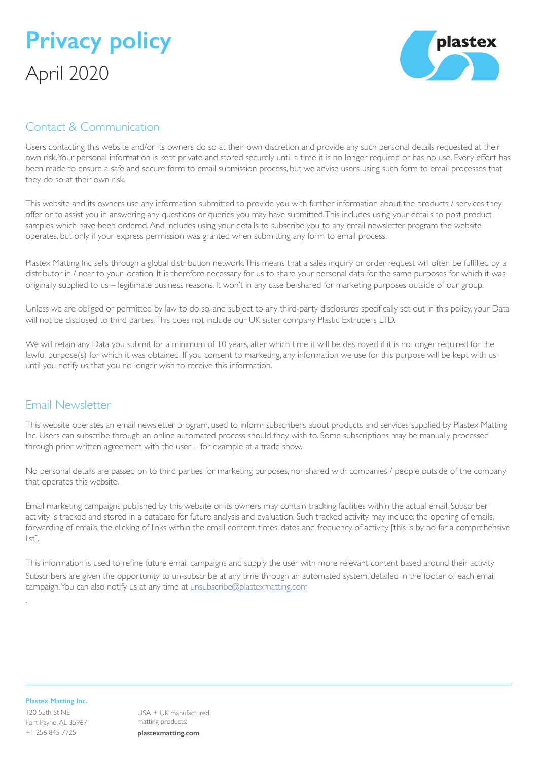



## Contact & Communication

Users contacting this website and/or its owners do so at their own discretion and provide any such personal details requested at their own risk. Your personal information is kept private and stored securely until a time it is no longer required or has no use. Every effort has been made to ensure a safe and secure form to email submission process, but we advise users using such form to email processes that they do so at their own risk.

This website and its owners use any information submitted to provide you with further information about the products / services they offer or to assist you in answering any questions or queries you may have submitted. This includes using your details to post product samples which have been ordered. And includes using your details to subscribe you to any email newsletter program the website operates, but only if your express permission was granted when submitting any form to email process.

Plastex Matting Inc sells through a global distribution network. This means that a sales inquiry or order request will often be fulfilled by a distributor in / near to your location. It is therefore necessary for us to share your personal data for the same purposes for which it was originally supplied to us – legitimate business reasons. It won't in any case be shared for marketing purposes outside of our group.

Unless we are obliged or permitted by law to do so, and subject to any third-party disclosures specifically set out in this policy, your Data will not be disclosed to third parties. This does not include our UK sister company Plastic Extruders LTD.

We will retain any Data you submit for a minimum of 10 years, after which time it will be destroyed if it is no longer required for the lawful purpose(s) for which it was obtained. If you consent to marketing, any information we use for this purpose will be kept with us until you notify us that you no longer wish to receive this information.

### Email Newsletter

This website operates an email newsletter program, used to inform subscribers about products and services supplied by Plastex Matting Inc. Users can subscribe through an online automated process should they wish to. Some subscriptions may be manually processed through prior written agreement with the user – for example at a trade show.

No personal details are passed on to third parties for marketing purposes, nor shared with companies / people outside of the company that operates this website.

Email marketing campaigns published by this website or its owners may contain tracking facilities within the actual email. Subscriber activity is tracked and stored in a database for future analysis and evaluation. Such tracked activity may include; the opening of emails, forwarding of emails, the clicking of links within the email content, times, dates and frequency of activity [this is by no far a comprehensive list].

This information is used to refine future email campaigns and supply the user with more relevant content based around their activity. Subscribers are given the opportunity to un-subscribe at any time through an automated system, detailed in the footer of each email campaign. You can also notify us at any time at [unsubscribe@plastexmatting.com](http://unsubscribe@plastexmatting.com)

#### **Plastex Matting Inc.**

.

120 55th St NE Fort Payne, AL 35967 +1 256 845 7725

USA + UK manufactured matting products: **plastexmatting.com**